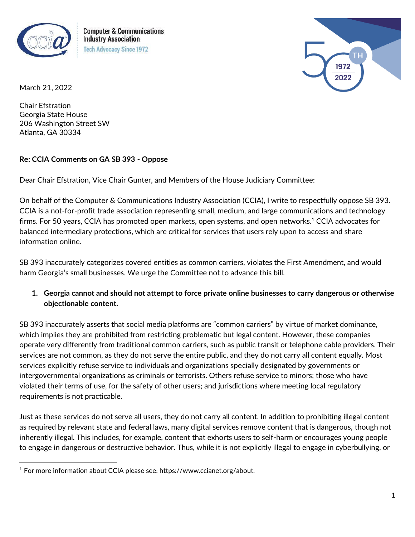

**Computer & Communications Industry Association Tech Advocacy Since 1972** 



March 21, 2022

Chair Efstration Georgia State House 206 Washington Street SW Atlanta, GA 30334

## **Re: CCIA Comments on GA SB 393 - Oppose**

Dear Chair Efstration, Vice Chair Gunter, and Members of the House Judiciary Committee:

On behalf of the Computer & Communications Industry Association (CCIA), I write to respectfully oppose SB 393. CCIA is a not-for-profit trade association representing small, medium, and large communications and technology firms. For 50 years, CCIA has promoted open markets, open systems, and open networks.<sup>1</sup> CCIA advocates for balanced intermediary protections, which are critical for services that users rely upon to access and share information online.

SB 393 inaccurately categorizes covered entities as common carriers, violates the First Amendment, and would harm Georgia's small businesses. We urge the Committee not to advance this bill.

**1. Georgia cannot and should not attempt to force private online businesses to carry dangerous or otherwise objectionable content.**

SB 393 inaccurately asserts that social media platforms are "common carriers" by virtue of market dominance, which implies they are prohibited from restricting problematic but legal content. However, these companies operate very differently from traditional common carriers, such as public transit or telephone cable providers. Their services are not common, as they do not serve the entire public, and they do not carry all content equally. Most services explicitly refuse service to individuals and organizations specially designated by governments or intergovernmental organizations as criminals or terrorists. Others refuse service to minors; those who have violated their terms of use, for the safety of other users; and jurisdictions where meeting local regulatory requirements is not practicable.

Just as these services do not serve all users, they do not carry all content. In addition to prohibiting illegal content as required by relevant state and federal laws, many digital services remove content that is dangerous, though not inherently illegal. This includes, for example, content that exhorts users to self-harm or encourages young people to engage in dangerous or destructive behavior. Thus, while it is not explicitly illegal to engage in cyberbullying, or

<sup>1</sup> For more information about CCIA please see: https://www.ccianet.org/about.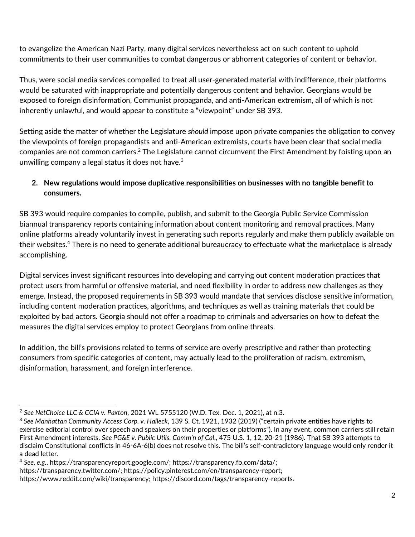to evangelize the American Nazi Party, many digital services nevertheless act on such content to uphold commitments to their user communities to combat dangerous or abhorrent categories of content or behavior.

Thus, were social media services compelled to treat all user-generated material with indifference, their platforms would be saturated with inappropriate and potentially dangerous content and behavior. Georgians would be exposed to foreign disinformation, Communist propaganda, and anti-American extremism, all of which is not inherently unlawful, and would appear to constitute a "viewpoint" under SB 393.

Setting aside the matter of whether the Legislature *should* impose upon private companies the obligation to convey the viewpoints of foreign propagandists and anti-American extremists, courts have been clear that social media companies are not common carriers.<sup>2</sup> The Legislature cannot circumvent the First Amendment by foisting upon an unwilling company a legal status it does not have. $3$ 

## **2. New regulations would impose duplicative responsibilities on businesses with no tangible benefit to consumers.**

SB 393 would require companies to compile, publish, and submit to the Georgia Public Service Commission biannual transparency reports containing information about content monitoring and removal practices. Many online platforms already voluntarily invest in generating such reports regularly and make them publicly available on their websites.<sup>4</sup> There is no need to generate additional bureaucracy to effectuate what the marketplace is already accomplishing.

Digital services invest significant resources into developing and carrying out content moderation practices that protect users from harmful or offensive material, and need flexibility in order to address new challenges as they emerge. Instead, the proposed requirements in SB 393 would mandate that services disclose sensitive information, including content moderation practices, algorithms, and techniques as well as training materials that could be exploited by bad actors. Georgia should not offer a roadmap to criminals and adversaries on how to defeat the measures the digital services employ to protect Georgians from online threats.

In addition, the bill's provisions related to terms of service are overly prescriptive and rather than protecting consumers from specific categories of content, may actually lead to the proliferation of racism, extremism, disinformation, harassment, and foreign interference.

<sup>2</sup> *See NetChoice LLC & CCIA v. Paxton*, 2021 WL 5755120 (W.D. Tex. Dec. 1, 2021), at n.3.

<sup>3</sup> *See Manhattan Community Access Corp. v. Halleck*, 139 S. Ct. 1921, 1932 (2019) ("certain private entities have rights to exercise editorial control over speech and speakers on their properties or platforms"). In any event, common carriers still retain First Amendment interests. *See PG&E v. Public Utils. Comm'n of Cal*., 475 U.S. 1, 12, 20-21 (1986). That SB 393 attempts to disclaim Constitutional conflicts in 46-6A-6(b) does not resolve this. The bill's self-contradictory language would only render it a dead letter.

<sup>4</sup> *See, e.g.*, https://transparencyreport.google.com/; https://transparency.fb.com/data/;

https://transparency.twitter.com/; https://policy.pinterest.com/en/transparency-report;

https://www.reddit.com/wiki/transparency; https://discord.com/tags/transparency-reports.